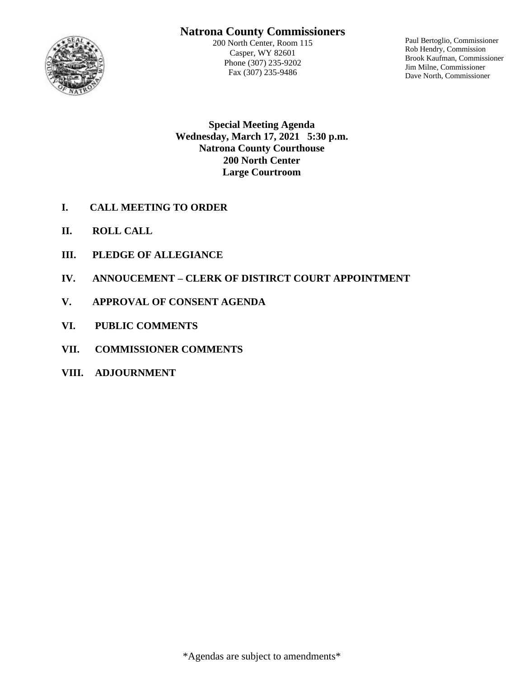# **Natrona County Commissioners**



200 North Center, Room 115 Casper, WY 82601 Phone (307) 235-9202 Fax (307) 235-9486

Paul Bertoglio, Commissioner Rob Hendry, Commission Brook Kaufman, Commissioner Jim Milne, Commissioner Dave North, Commissioner

**Special Meeting Agenda Wednesday, March 17, 2021 5:30 p.m. Natrona County Courthouse 200 North Center Large Courtroom**

- **I. CALL MEETING TO ORDER**
- **II. ROLL CALL**
- **III. PLEDGE OF ALLEGIANCE**
- **IV. ANNOUCEMENT – CLERK OF DISTIRCT COURT APPOINTMENT**
- **V. APPROVAL OF CONSENT AGENDA**
- **VI. PUBLIC COMMENTS**
- **VII. COMMISSIONER COMMENTS**
- **VIII. ADJOURNMENT**